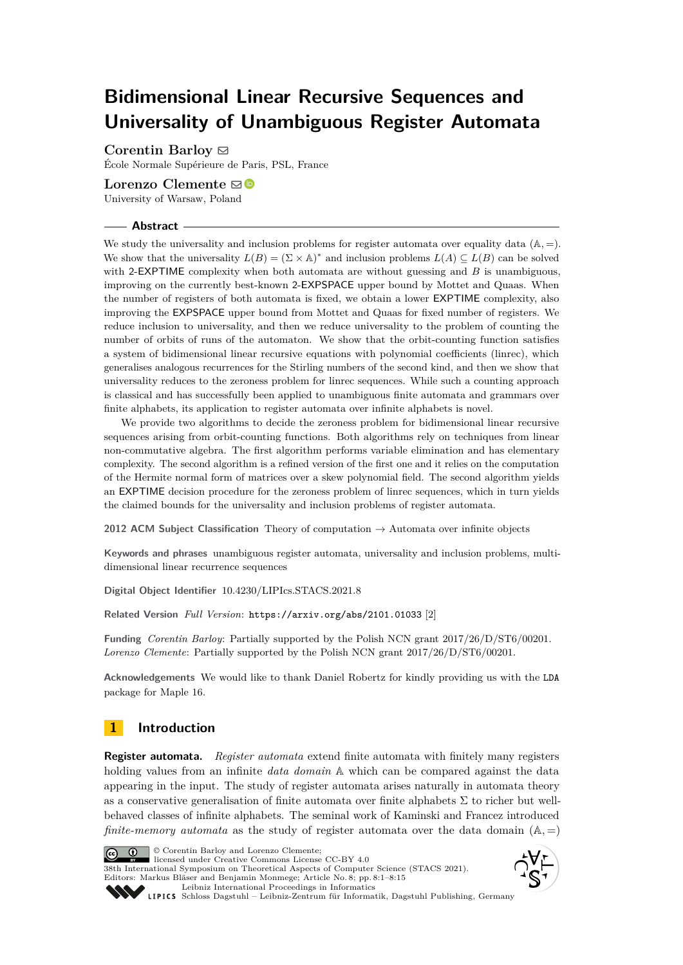# **Bidimensional Linear Recursive Sequences and Universality of Unambiguous Register Automata**

**Corentin Barloy** [!](mailto:corentin.barloy@ens.fr)

École Normale Supérieure de Paris, PSL, France

**Lorenzo Clemente**  $\mathbf{\Xi}$  **■** 

University of Warsaw, Poland

## **Abstract**

We study the universality and inclusion problems for register automata over equality data  $(A, =)$ . We show that the universality  $L(B) = (\Sigma \times A)^*$  and inclusion problems  $L(A) \subseteq L(B)$  can be solved with 2-EXPTIME complexity when both automata are without guessing and *B* is unambiguous, improving on the currently best-known 2-EXPSPACE upper bound by Mottet and Quaas. When the number of registers of both automata is fixed, we obtain a lower EXPTIME complexity, also improving the EXPSPACE upper bound from Mottet and Quaas for fixed number of registers. We reduce inclusion to universality, and then we reduce universality to the problem of counting the number of orbits of runs of the automaton. We show that the orbit-counting function satisfies a system of bidimensional linear recursive equations with polynomial coefficients (linrec), which generalises analogous recurrences for the Stirling numbers of the second kind, and then we show that universality reduces to the zeroness problem for linrec sequences. While such a counting approach is classical and has successfully been applied to unambiguous finite automata and grammars over finite alphabets, its application to register automata over infinite alphabets is novel.

We provide two algorithms to decide the zeroness problem for bidimensional linear recursive sequences arising from orbit-counting functions. Both algorithms rely on techniques from linear non-commutative algebra. The first algorithm performs variable elimination and has elementary complexity. The second algorithm is a refined version of the first one and it relies on the computation of the Hermite normal form of matrices over a skew polynomial field. The second algorithm yields an EXPTIME decision procedure for the zeroness problem of linrec sequences, which in turn yields the claimed bounds for the universality and inclusion problems of register automata.

**2012 ACM Subject Classification** Theory of computation → Automata over infinite objects

**Keywords and phrases** unambiguous register automata, universality and inclusion problems, multidimensional linear recurrence sequences

**Digital Object Identifier** [10.4230/LIPIcs.STACS.2021.8](https://doi.org/10.4230/LIPIcs.STACS.2021.8)

**Related Version** *Full Version*: <https://arxiv.org/abs/2101.01033> [\[2\]](#page-12-0)

**Funding** *Corentin Barloy*: Partially supported by the Polish NCN grant 2017/26/D/ST6/00201. *Lorenzo Clemente*: Partially supported by the Polish NCN grant 2017/26/D/ST6/00201.

**Acknowledgements** We would like to thank Daniel Robertz for kindly providing us with the LDA package for Maple 16.

# **1 Introduction**

**Register automata.** *Register automata* extend finite automata with finitely many registers holding values from an infinite *data domain* A which can be compared against the data appearing in the input. The study of register automata arises naturally in automata theory as a conservative generalisation of finite automata over finite alphabets  $\Sigma$  to richer but wellbehaved classes of infinite alphabets. The seminal work of Kaminski and Francez introduced *finite-memory automata* as the study of register automata over the data domain  $(A, =)$ 



© Corentin Barloy and Lorenzo Clemente; licensed under Creative Commons License CC-BY 4.0 38th International Symposium on Theoretical Aspects of Computer Science (STACS 2021).

Editors: Markus Bläser and Benjamin Monmege; Article No. 8; pp. 8:1–8:15 [Leibniz International Proceedings in Informatics](https://www.dagstuhl.de/lipics/)



[Schloss Dagstuhl – Leibniz-Zentrum für Informatik, Dagstuhl Publishing, Germany](https://www.dagstuhl.de)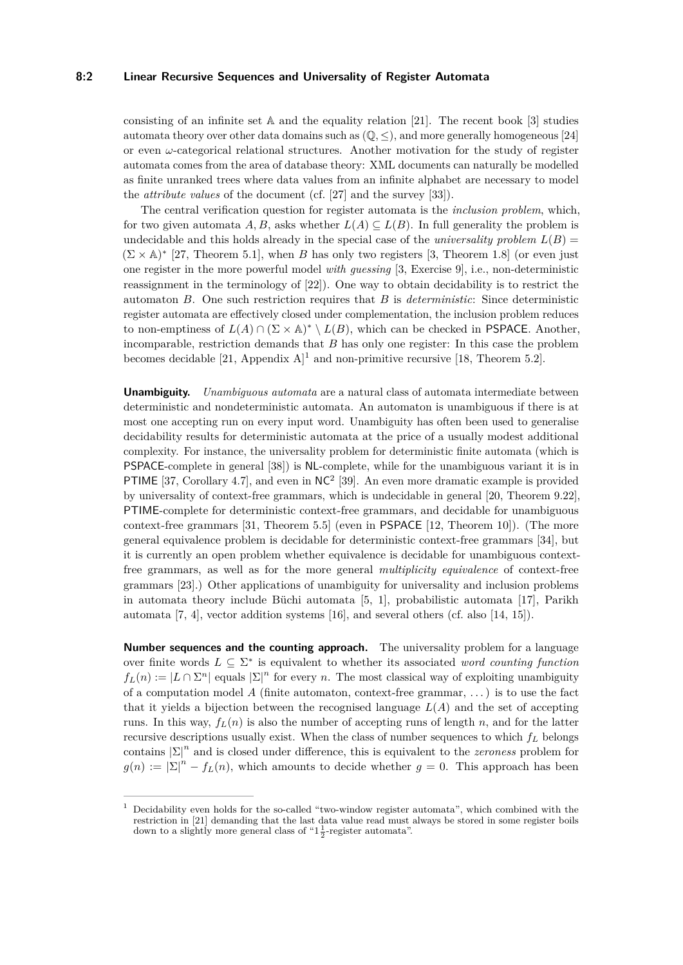#### **8:2 Linear Recursive Sequences and Universality of Register Automata**

consisting of an infinite set  $A$  and the equality relation [\[21\]](#page-13-0). The recent book [\[3\]](#page-12-1) studies automata theory over other data domains such as  $(\mathbb{Q}, \leq)$ , and more generally homogeneous [\[24\]](#page-13-1) or even *ω*-categorical relational structures. Another motivation for the study of register automata comes from the area of database theory: XML documents can naturally be modelled as finite unranked trees where data values from an infinite alphabet are necessary to model the *attribute values* of the document (cf. [\[27\]](#page-13-2) and the survey [\[33\]](#page-13-3)).

The central verification question for register automata is the *inclusion problem*, which, for two given automata *A*, *B*, asks whether  $L(A) \subseteq L(B)$ . In full generality the problem is undecidable and this holds already in the special case of the *universality problem*  $L(B)$  =  $(\Sigma \times A)^*$  [\[27,](#page-13-2) Theorem 5.1], when *B* has only two registers [\[3,](#page-12-1) Theorem 1.8] (or even just one register in the more powerful model *with guessing* [\[3,](#page-12-1) Exercise 9], i.e., non-deterministic reassignment in the terminology of [\[22\]](#page-13-4)). One way to obtain decidability is to restrict the automaton *B*. One such restriction requires that *B* is *deterministic*: Since deterministic register automata are effectively closed under complementation, the inclusion problem reduces to non-emptiness of  $L(A) \cap (\Sigma \times \mathbb{A})^* \setminus L(B)$ , which can be checked in PSPACE. Another, incomparable, restriction demands that *B* has only one register: In this case the problem becomes decidable [\[21,](#page-13-0) Appendix  $A$ ]<sup>[1](#page-1-0)</sup> and non-primitive recursive [\[18,](#page-13-5) Theorem 5.2].

**Unambiguity.** *Unambiguous automata* are a natural class of automata intermediate between deterministic and nondeterministic automata. An automaton is unambiguous if there is at most one accepting run on every input word. Unambiguity has often been used to generalise decidability results for deterministic automata at the price of a usually modest additional complexity. For instance, the universality problem for deterministic finite automata (which is PSPACE-complete in general [\[38\]](#page-14-0)) is NL-complete, while for the unambiguous variant it is in PTIME [\[37,](#page-14-1) Corollary 4.7], and even in  $NC<sup>2</sup>$  [\[39\]](#page-14-2). An even more dramatic example is provided by universality of context-free grammars, which is undecidable in general [\[20,](#page-13-6) Theorem 9.22], PTIME-complete for deterministic context-free grammars, and decidable for unambiguous context-free grammars [\[31,](#page-13-7) Theorem 5.5] (even in PSPACE [\[12,](#page-12-2) Theorem 10]). (The more general equivalence problem is decidable for deterministic context-free grammars [\[34\]](#page-13-8), but it is currently an open problem whether equivalence is decidable for unambiguous contextfree grammars, as well as for the more general *multiplicity equivalence* of context-free grammars [\[23\]](#page-13-9).) Other applications of unambiguity for universality and inclusion problems in automata theory include Büchi automata [\[5,](#page-12-3) [1\]](#page-12-4), probabilistic automata [\[17\]](#page-13-10), Parikh automata [\[7,](#page-12-5) [4\]](#page-12-6), vector addition systems [\[16\]](#page-12-7), and several others (cf. also [\[14,](#page-12-8) [15\]](#page-12-9)).

**Number sequences and the counting approach.** The universality problem for a language over finite words  $L \subseteq \Sigma^*$  is equivalent to whether its associated *word counting function*  $f_L(n) := |L \cap \Sigma^n|$  equals  $|\Sigma|^n$  for every *n*. The most classical way of exploiting unambiguity of a computation model *A* (finite automaton, context-free grammar, . . . ) is to use the fact that it yields a bijection between the recognised language  $L(A)$  and the set of accepting runs. In this way,  $f_L(n)$  is also the number of accepting runs of length  $n$ , and for the latter recursive descriptions usually exist. When the class of number sequences to which *f<sup>L</sup>* belongs contains  $|\Sigma|^n$  and is closed under difference, this is equivalent to the *zeroness* problem for  $g(n) := |\Sigma|^n - f_L(n)$ , which amounts to decide whether  $g = 0$ . This approach has been

<span id="page-1-0"></span><sup>1</sup> Decidability even holds for the so-called "two-window register automata", which combined with the restriction in [\[21\]](#page-13-0) demanding that the last data value read must always be stored in some register boils down to a slightly more general class of " $1\frac{1}{2}$ -register automata".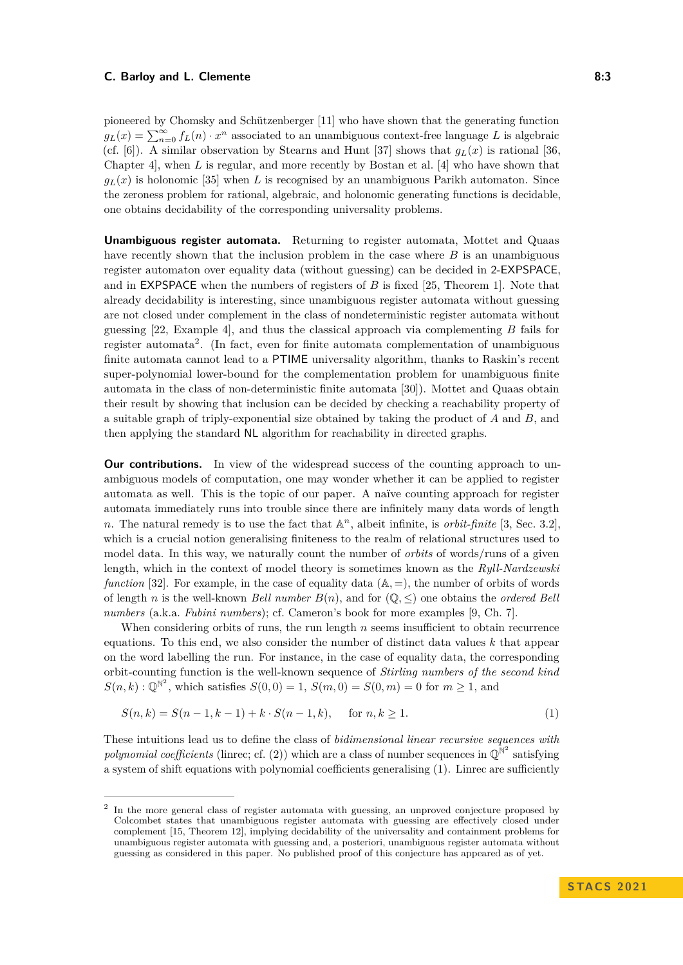pioneered by Chomsky and Schützenberger [\[11\]](#page-12-10) who have shown that the generating function  $g_L(x) = \sum_{n=0}^{\infty} f_L(n) \cdot x^n$  associated to an unambiguous context-free language *L* is algebraic (cf. [\[6\]](#page-12-11)). A similar observation by Stearns and Hunt [\[37\]](#page-14-1) shows that  $q_L(x)$  is rational [\[36,](#page-13-11) Chapter 4], when *L* is regular, and more recently by Bostan et al. [\[4\]](#page-12-6) who have shown that  $g_L(x)$  is holonomic [\[35\]](#page-13-12) when *L* is recognised by an unambiguous Parikh automaton. Since the zeroness problem for rational, algebraic, and holonomic generating functions is decidable, one obtains decidability of the corresponding universality problems.

**Unambiguous register automata.** Returning to register automata, Mottet and Quaas have recently shown that the inclusion problem in the case where *B* is an unambiguous register automaton over equality data (without guessing) can be decided in 2-EXPSPACE, and in EXPSPACE when the numbers of registers of *B* is fixed [\[25,](#page-13-13) Theorem 1]. Note that already decidability is interesting, since unambiguous register automata without guessing are not closed under complement in the class of nondeterministic register automata without guessing [\[22,](#page-13-4) Example 4], and thus the classical approach via complementing *B* fails for register automata<sup>[2](#page-2-0)</sup>. (In fact, even for finite automata complementation of unambiguous finite automata cannot lead to a PTIME universality algorithm, thanks to Raskin's recent super-polynomial lower-bound for the complementation problem for unambiguous finite automata in the class of non-deterministic finite automata [\[30\]](#page-13-14)). Mottet and Quaas obtain their result by showing that inclusion can be decided by checking a reachability property of a suitable graph of triply-exponential size obtained by taking the product of *A* and *B*, and then applying the standard NL algorithm for reachability in directed graphs.

**Our contributions.** In view of the widespread success of the counting approach to unambiguous models of computation, one may wonder whether it can be applied to register automata as well. This is the topic of our paper. A naïve counting approach for register automata immediately runs into trouble since there are infinitely many data words of length *n*. The natural remedy is to use the fact that  $\mathbb{A}^n$ , albeit infinite, is *orbit-finite* [\[3,](#page-12-1) Sec. 3.2], which is a crucial notion generalising finiteness to the realm of relational structures used to model data. In this way, we naturally count the number of *orbits* of words/runs of a given length, which in the context of model theory is sometimes known as the *Ryll-Nardzewski function* [\[32\]](#page-13-15). For example, in the case of equality data  $(A, =)$ , the number of orbits of words of length *n* is the well-known *Bell number*  $B(n)$ , and for  $(\mathbb{Q}, \leq)$  one obtains the *ordered Bell numbers* (a.k.a. *Fubini numbers*); cf. Cameron's book for more examples [\[9,](#page-12-12) Ch. 7].

When considering orbits of runs, the run length *n* seems insufficient to obtain recurrence equations. To this end, we also consider the number of distinct data values *k* that appear on the word labelling the run. For instance, in the case of equality data, the corresponding orbit-counting function is the well-known sequence of *Stirling numbers of the second kind*  $S(n, k) : \mathbb{Q}^{\mathbb{N}^2}$ , which satisfies  $S(0, 0) = 1$ ,  $S(m, 0) = S(0, m) = 0$  for  $m \ge 1$ , and

<span id="page-2-1"></span>
$$
S(n,k) = S(n-1,k-1) + k \cdot S(n-1,k), \quad \text{for } n,k \ge 1.
$$
 (1)

These intuitions lead us to define the class of *bidimensional linear recursive sequences with* polynomial coefficients (linrec; cf. [\(2\)](#page-4-0)) which are a class of number sequences in  $\mathbb{Q}^{\mathbb{N}^2}$  satisfying a system of shift equations with polynomial coefficients generalising [\(1\)](#page-2-1). Linrec are sufficiently

<span id="page-2-0"></span><sup>&</sup>lt;sup>2</sup> In the more general class of register automata with guessing, an unproved conjecture proposed by Colcombet states that unambiguous register automata with guessing are effectively closed under complement [\[15,](#page-12-9) Theorem 12], implying decidability of the universality and containment problems for unambiguous register automata with guessing and, a posteriori, unambiguous register automata without guessing as considered in this paper. No published proof of this conjecture has appeared as of yet.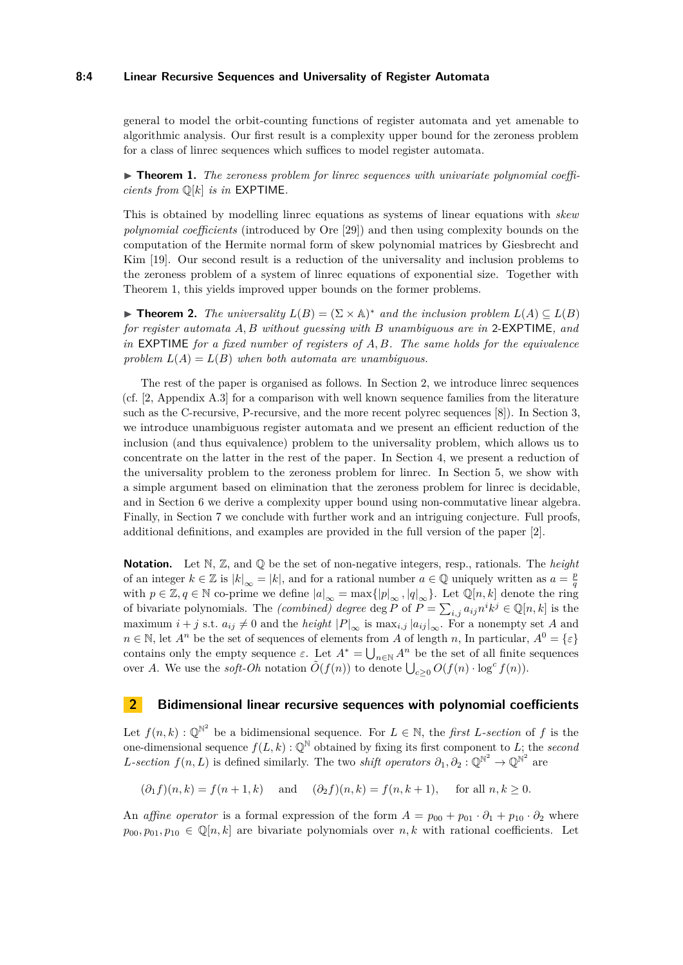#### **8:4 Linear Recursive Sequences and Universality of Register Automata**

general to model the orbit-counting functions of register automata and yet amenable to algorithmic analysis. Our first result is a complexity upper bound for the zeroness problem for a class of linrec sequences which suffices to model register automata.

<span id="page-3-0"></span>▶ **Theorem 1.** The zeroness problem for linrec sequences with univariate polynomial coeffi*cients from* Q[*k*] *is in* EXPTIME*.*

This is obtained by modelling linrec equations as systems of linear equations with *skew polynomial coefficients* (introduced by Ore [\[29\]](#page-13-16)) and then using complexity bounds on the computation of the Hermite normal form of skew polynomial matrices by Giesbrecht and Kim [\[19\]](#page-13-17). Our second result is a reduction of the universality and inclusion problems to the zeroness problem of a system of linrec equations of exponential size. Together with Theorem [1,](#page-3-0) this yields improved upper bounds on the former problems.

<span id="page-3-2"></span>▶ **Theorem 2.** *The universality*  $L(B) = (\Sigma \times \mathbb{A})^*$  *and the inclusion problem*  $L(A) \subseteq L(B)$ *for register automata A, B without guessing with B unambiguous are in* 2-EXPTIME*, and in* EXPTIME *for a fixed number of registers of A, B. The same holds for the equivalence* problem  $L(A) = L(B)$  when both automata are unambiguous.

The rest of the paper is organised as follows. In Section [2,](#page-3-1) we introduce linrec sequences (cf. [\[2,](#page-12-0) Appendix A.3] for a comparison with well known sequence families from the literature such as the C-recursive, P-recursive, and the more recent polyrec sequences [\[8\]](#page-12-13)). In Section [3,](#page-4-1) we introduce unambiguous register automata and we present an efficient reduction of the inclusion (and thus equivalence) problem to the universality problem, which allows us to concentrate on the latter in the rest of the paper. In Section [4,](#page-6-0) we present a reduction of the universality problem to the zeroness problem for linrec. In Section [5,](#page-8-0) we show with a simple argument based on elimination that the zeroness problem for linrec is decidable, and in Section [6](#page-10-0) we derive a complexity upper bound using non-commutative linear algebra. Finally, in Section [7](#page-11-0) we conclude with further work and an intriguing conjecture. Full proofs, additional definitions, and examples are provided in the full version of the paper [\[2\]](#page-12-0).

**Notation.** Let N, Z, and Q be the set of non-negative integers, resp., rationals. The *height* of an integer  $k \in \mathbb{Z}$  is  $|k|_{\infty} = |k|$ , and for a rational number  $a \in \mathbb{Q}$  uniquely written as  $a = \frac{p}{q}$ with  $p \in \mathbb{Z}, q \in \mathbb{N}$  co-prime we define  $|a|_{\infty} = \max\{|p|_{\infty}, |q|_{\infty}\}\)$ . Let  $\mathbb{Q}[n,k]$  denote the ring of bivariate polynomials. The *(combined) degree* deg  $\overline{P}$  of  $\overline{P} = \sum_{i,j} a_{ij} n^i k^j \in \mathbb{Q}[n,k]$  is the maximum *i* + *j* s.t.  $a_{ij} \neq 0$  and the *height*  $|P|_{\infty}$  is max<sub>*i,j*</sub>  $|a_{ij}|_{\infty}$ . For a nonempty set *A* and  $n \in \mathbb{N}$ , let  $A^n$  be the set of sequences of elements from *A* of length *n*, In particular,  $A^0 = \{\varepsilon\}$ contains only the empty sequence  $\varepsilon$ . Let  $A^* = \bigcup_{n \in \mathbb{N}} A^n$  be the set of all finite sequences over *A*. We use the *soft-Oh* notation  $\tilde{O}(f(n))$  to denote  $\bigcup_{c\geq 0} O(f(n) \cdot \log^c f(n))$ .

# <span id="page-3-1"></span>**2 Bidimensional linear recursive sequences with polynomial coefficients**

Let  $f(n, k) : \mathbb{Q}^{\mathbb{N}^2}$  be a bidimensional sequence. For  $L \in \mathbb{N}$ , the *first L*-section of f is the one-dimensional sequence  $f(L, k) : \mathbb{Q}^{\mathbb{N}}$  obtained by fixing its first component to *L*; the *second L*-section  $f(n, L)$  is defined similarly. The two *shift operators*  $\partial_1, \partial_2 : \mathbb{Q}^{\mathbb{N}^2} \to \mathbb{Q}^{\mathbb{N}^2}$  are

 $(\partial_1 f)(n, k) = f(n+1, k)$  and  $(\partial_2 f)(n, k) = f(n, k+1)$ , for all  $n, k > 0$ .

An *affine operator* is a formal expression of the form  $A = p_{00} + p_{01} \cdot \partial_1 + p_{10} \cdot \partial_2$  where  $p_{00}, p_{01}, p_{10} \in \mathbb{Q}[n, k]$  are bivariate polynomials over  $n, k$  with rational coefficients. Let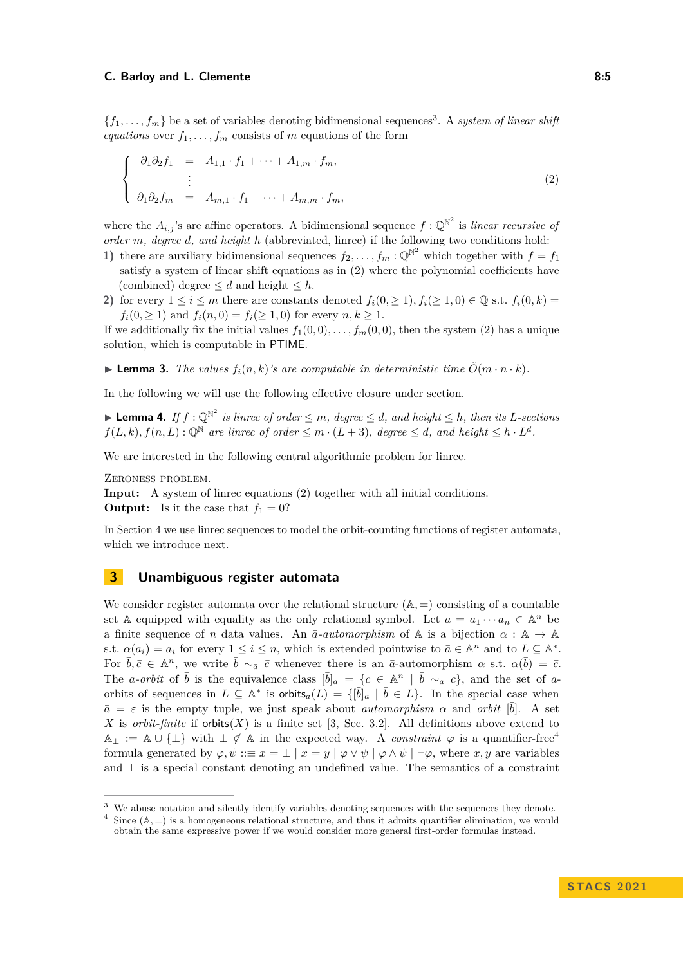${f_1, \ldots, f_m}$  be a set of variables denoting bidimensional sequences<sup>[3](#page-4-2)</sup>. A *system of linear shift equations* over  $f_1, \ldots, f_m$  consists of *m* equations of the form

<span id="page-4-0"></span>
$$
\begin{cases}\n\partial_1 \partial_2 f_1 = A_{1,1} \cdot f_1 + \dots + A_{1,m} \cdot f_m, \\
\vdots \\
\partial_1 \partial_2 f_m = A_{m,1} \cdot f_1 + \dots + A_{m,m} \cdot f_m,\n\end{cases} \tag{2}
$$

where the  $A_{i,j}$ 's are affine operators. A bidimensional sequence  $f: \mathbb{Q}^{\mathbb{N}^2}$  is *linear recursive of order m, degree d, and height h* (abbreviated, linrec) if the following two conditions hold:

- **1)** there are auxiliary bidimensional sequences  $f_2, \ldots, f_m : \mathbb{Q}^{\mathbb{N}^2}$  which together with  $f = f_1$ satisfy a system of linear shift equations as in [\(2\)](#page-4-0) where the polynomial coefficients have (combined) degree  $\leq d$  and height  $\leq h$ .
- **2)** for every  $1 \leq i \leq m$  there are constants denoted  $f_i(0, \geq 1), f_i(\geq 1, 0) \in \mathbb{Q}$  s.t.  $f_i(0, k) =$ *f*<sub>*i*</sub>(0, ≥ 1) and *f*<sub>*i*</sub>(*n*, 0) = *f*<sub>*i*</sub>(≥ 1, 0) for every *n*, *k* ≥ 1.

If we additionally fix the initial values  $f_1(0,0), \ldots, f_m(0,0)$ , then the system [\(2\)](#page-4-0) has a unique solution, which is computable in PTIME.

 $\blacktriangleright$  **Lemma 3.** The values  $f_i(n, k)$ 's are computable in deterministic time  $\tilde{O}(m \cdot n \cdot k)$ .

In the following we will use the following effective closure under section.

▶ **Lemma 4.** *If*  $f: \mathbb{Q}^{\mathbb{N}^2}$  *is linrec of order*  $\leq m$ *, degree*  $\leq d$ *, and height*  $\leq h$ *, then its L-sections*  $f(L, k), f(n, L): \mathbb{Q}^{\mathbb{N}}$  are linrec of order  $\leq m \cdot (L+3)$ , degree  $\leq d$ , and height  $\leq h \cdot L^d$ .

We are interested in the following central algorithmic problem for linrec.

Zeroness problem.

**Input:** A system of linrec equations [\(2\)](#page-4-0) together with all initial conditions. **Output:** Is it the case that  $f_1 = 0$ ?

In Section [4](#page-6-0) we use linrec sequences to model the orbit-counting functions of register automata, which we introduce next.

# <span id="page-4-1"></span>**3 Unambiguous register automata**

We consider register automata over the relational structure  $(A, =)$  consisting of a countable set A equipped with equality as the only relational symbol. Let  $\bar{a} = a_1 \cdots a_n \in \mathbb{A}^n$  be a finite sequence of *n* data values. An  $\bar{a}$ -*automorphism* of A is a bijection  $\alpha : A \rightarrow A$ s.t.  $\alpha(a_i) = a_i$  for every  $1 \leq i \leq n$ , which is extended pointwise to  $\bar{a} \in \mathbb{A}^n$  and to  $L \subseteq \mathbb{A}^*$ . For  $\bar{b}, \bar{c} \in \mathbb{A}^n$ , we write  $\bar{b} \sim_{\bar{a}} \bar{c}$  whenever there is an  $\bar{a}$ -automorphism  $\alpha$  s.t.  $\alpha(\bar{b}) = \bar{c}$ . The  $\bar{a}$ -*orbit* of  $\bar{b}$  is the equivalence class  $[\bar{b}]_{\bar{a}} = {\bar{c} \in \mathbb{A}^n \mid \bar{b} \sim_{\bar{a}} \bar{c}}$ , and the set of  $\bar{a}$ orbits of sequences in  $L \subseteq \mathbb{A}^*$  is orbits $_{\bar{a}}(L) = \{ [\bar{b}]_{\bar{a}} | \bar{b} \in L \}$ . In the special case when  $\bar{a} = \varepsilon$  is the empty tuple, we just speak about *automorphism*  $\alpha$  and *orbit*  $[\bar{b}]$ . A set *X* is *orbit-finite* if  $orbits(X)$  is a finite set [\[3,](#page-12-1) Sec. 3.2]. All definitions above extend to  $\mathbb{A}_\perp := \mathbb{A} \cup \{\perp\}$  with  $\perp \notin \mathbb{A}$  in the expected way. A *constraint*  $\varphi$  is a quantifier-free<sup>[4](#page-4-3)</sup> formula generated by  $\varphi, \psi ::= x = \bot | x = y | \varphi \vee \psi | \varphi \wedge \psi | \neg \varphi$ , where *x*, *y* are variables and  $\perp$  is a special constant denoting an undefined value. The semantics of a constraint

<span id="page-4-2"></span><sup>&</sup>lt;sup>3</sup> We abuse notation and silently identify variables denoting sequences with the sequences they denote.

<span id="page-4-3"></span><sup>&</sup>lt;sup>4</sup> Since  $(A, =)$  is a homogeneous relational structure, and thus it admits quantifier elimination, we would obtain the same expressive power if we would consider more general first-order formulas instead.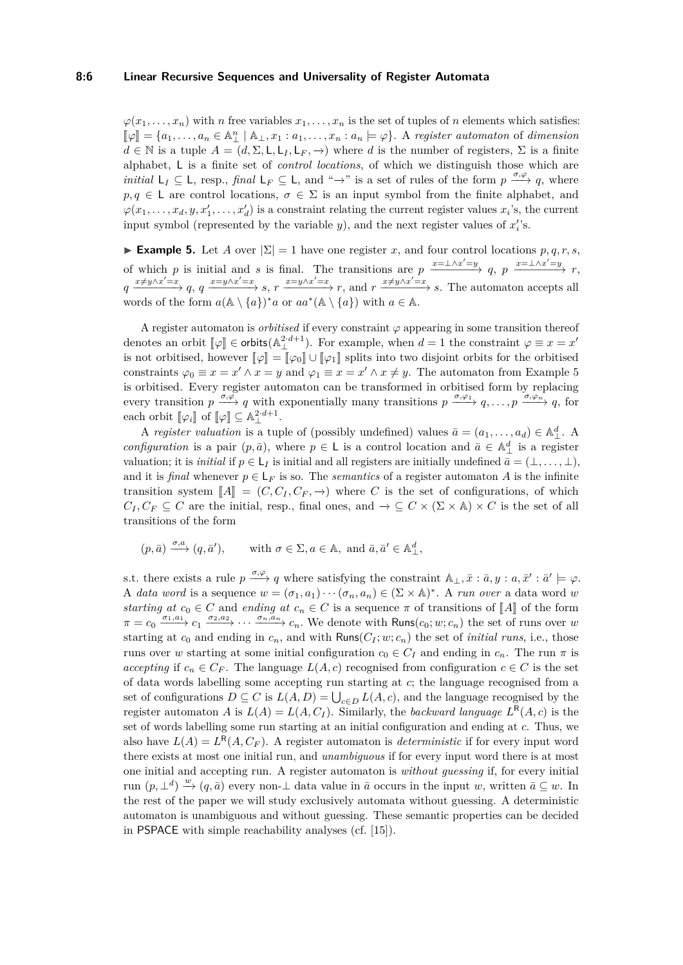#### **8:6 Linear Recursive Sequences and Universality of Register Automata**

 $\varphi(x_1, \ldots, x_n)$  with *n* free variables  $x_1, \ldots, x_n$  is the set of tuples of *n* elements which satisfies:  $[\![\varphi]\!] = \{a_1, \ldots, a_n \in \mathbb{A}^n_+ \mid \mathbb{A}_+, x_1 : a_1, \ldots, x_n : a_n \models \varphi\}.$  A register automaton of dimension  $d \in \mathbb{N}$  is a tuple  $A = (d, \Sigma, \mathsf{L}, \mathsf{L}_I, \mathsf{L}_F, \rightarrow)$  where *d* is the number of registers,  $\Sigma$  is a finite alphabet, L is a finite set of *control locations*, of which we distinguish those which are *initial*  $L_I \subseteq L$ , resp., *final*  $L_F \subseteq L$ , and "→" is a set of rules of the form  $p \xrightarrow{\sigma, \varphi} q$ , where  $p, q \in L$  are control locations,  $\sigma \in \Sigma$  is an input symbol from the finite alphabet, and  $\varphi(x_1, \ldots, x_d, y, x'_1, \ldots, x'_d)$  is a constraint relating the current register values  $x_i$ 's, the current input symbol (represented by the variable  $y$ ), and the next register values of  $x_i$ 's.

<span id="page-5-0"></span>**► Example 5.** Let *A* over  $|\Sigma| = 1$  have one register *x*, and four control locations *p*, *q*, *r*, *s*, of which *p* is initial and *s* is final. The transitions are  $p \xrightarrow{x=\pm \wedge x'=y} q$ ,  $p \xrightarrow{x=\pm \wedge x'=y} r$ ,  $q \xrightarrow{x \neq y \wedge x' = x} q$ ,  $q \xrightarrow{x = y \wedge x' = x} s$ ,  $r \xrightarrow{x = y \wedge x' = x} r$ , and  $r \xrightarrow{x \neq y \wedge x' = x} s$ . The automaton accepts all words of the form  $a(\mathbb{A} \setminus \{a\})^* a$  or  $aa^*(\mathbb{A} \setminus \{a\})$  with  $a \in \mathbb{A}$ .

A register automaton is *orbitised* if every constraint  $\varphi$  appearing in some transition thereof denotes an orbit  $[\![\varphi]\!] \in \text{orbits}(\mathbb{A}^{2 \cdot d+1}_{\perp})$ . For example, when  $d = 1$  the constraint  $\varphi \equiv x = x'$ is not orbitised, however  $\llbracket \varphi \rrbracket = \llbracket \varphi_0 \rrbracket \cup \llbracket \varphi_1 \rrbracket$  splits into two disjoint orbits for the orbitised constraints  $\varphi_0 \equiv x = x' \wedge x = y$  and  $\varphi_1 \equiv x = x' \wedge x \neq y$ . The automaton from Example [5](#page-5-0) is orbitised. Every register automaton can be transformed in orbitised form by replacing every transition  $p \xrightarrow{\sigma, \varphi} q$  with exponentially many transitions  $p \xrightarrow{\sigma, \varphi_1} q, \ldots, p \xrightarrow{\sigma, \varphi_n} q$ , for each orbit  $[\![\varphi_i]\!]$  of  $[\![\varphi]\!] \subseteq \mathbb{A}^{2 \cdot d+1}_{\perp}$ .

A *register valuation* is a tuple of (possibly undefined) values  $\bar{a} = (a_1, \ldots, a_d) \in \mathbb{A}_{\perp}^d$ . *configuration* is a pair  $(p, \bar{a})$ , where  $p \in L$  is a control location and  $\bar{a} \in A^d_{\perp}$  is a register valuation; it is *initial* if  $p \in L_I$  is initial and all registers are initially undefined  $\bar{a} = (\perp, \ldots, \perp)$ , and it is *final* whenever  $p \in L_F$  is so. The *semantics* of a register automaton *A* is the infinite transition system  $\llbracket A \rrbracket = (C, C_I, C_F, \rightarrow)$  where C is the set of configurations, of which  $C_I, C_F \subseteq C$  are the initial, resp., final ones, and  $\rightarrow \subseteq C \times (\Sigma \times A) \times C$  is the set of all transitions of the form

$$
(p, \bar{a}) \xrightarrow{\sigma, a} (q, \bar{a}'),
$$
 with  $\sigma \in \Sigma, a \in \mathbb{A}$ , and  $\bar{a}, \bar{a}' \in \mathbb{A}_{\perp}^d$ ,

s.t. there exists a rule  $p \xrightarrow{\sigma, \varphi} q$  where satisfying the constraint  $\mathbb{A}_{\perp}, \bar{x} : \bar{a}, y : a, \bar{x}' : \bar{a}' \models \varphi$ . A *data word* is a sequence  $w = (\sigma_1, a_1) \cdots (\sigma_n, a_n) \in (\Sigma \times \mathbb{A})^*$ . A *run over* a data word *w starting at*  $c_0 \in C$  and *ending at*  $c_n \in C$  is a sequence  $\pi$  of transitions of  $\llbracket A \rrbracket$  of the form  $\pi = c_0 \frac{\sigma_1, a_1}{\sigma_1} \cdots \frac{\sigma_2, a_2}{\sigma_n} \cdots \frac{\sigma_n, a_n}{\sigma_n} \cdots$  We denote with Runs $(c_0; w; c_n)$  the set of runs over w starting at  $c_0$  and ending in  $c_n$ , and with Runs( $C_I$ ;  $w$ ;  $c_n$ ) the set of *initial runs*, i.e., those runs over *w* starting at some initial configuration  $c_0 \in C_I$  and ending in  $c_n$ . The run  $\pi$  is *accepting* if  $c_n \in C_F$ . The language  $L(A, c)$  recognised from configuration  $c \in C$  is the set of data words labelling some accepting run starting at *c*; the language recognised from a set of configurations  $D \subseteq C$  is  $L(A, D) = \bigcup_{c \in D} L(A, c)$ , and the language recognised by the register automaton *A* is  $L(A) = L(A, C_I)$ . Similarly, the *backward language*  $L^R(A, c)$  is the set of words labelling some run starting at an initial configuration and ending at *c*. Thus, we also have  $L(A) = L^{R}(A, C_F)$ . A register automaton is *deterministic* if for every input word there exists at most one initial run, and *unambiguous* if for every input word there is at most one initial and accepting run. A register automaton is *without guessing* if, for every initial run  $(p, \perp^d) \stackrel{w}{\to} (q, \overline{a})$  every non- $\perp$  data value in  $\overline{a}$  occurs in the input *w*, written  $\overline{a} \subseteq w$ . In the rest of the paper we will study exclusively automata without guessing. A deterministic automaton is unambiguous and without guessing. These semantic properties can be decided in PSPACE with simple reachability analyses (cf. [\[15\]](#page-12-9)).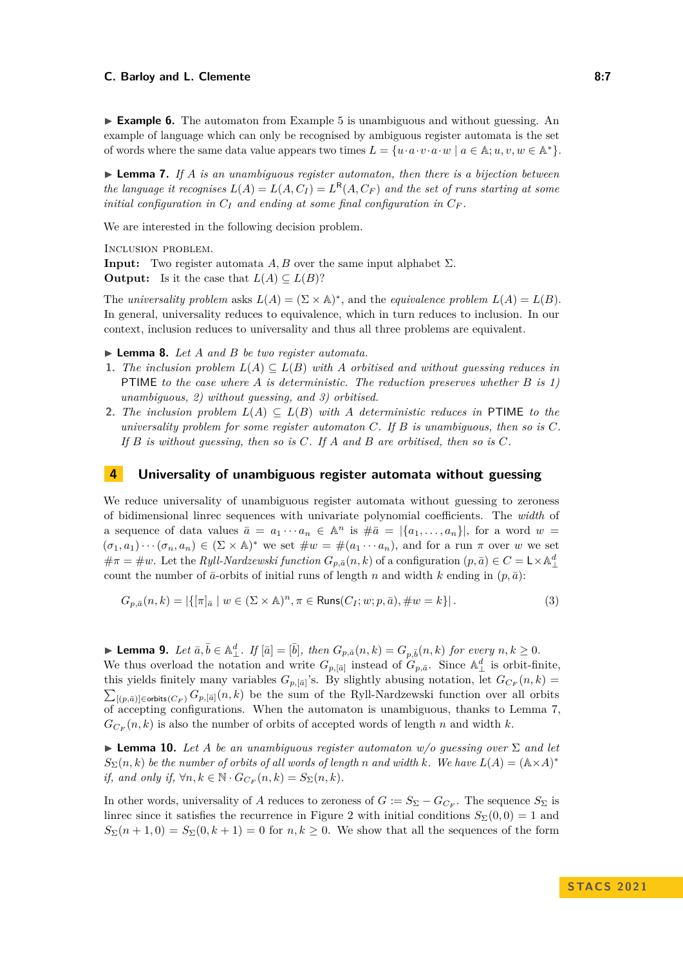**► Example 6.** The automaton from Example [5](#page-5-0) is unambiguous and without guessing. An example of language which can only be recognised by ambiguous register automata is the set of words where the same data value appears two times  $L = \{u \cdot a \cdot v \cdot a \cdot w \mid a \in \mathbb{A}; u, v, w \in \mathbb{A}^*\}.$ 

<span id="page-6-1"></span>▶ **Lemma 7.** *If A is an unambiguous register automaton, then there is a bijection between the language it recognises*  $L(A) = L(A, C_I) = L^R(A, C_F)$  and the set of runs starting at some *initial configuration in*  $C_I$  *and ending at some final configuration in*  $C_F$ *.* 

We are interested in the following decision problem.

Inclusion problem.

**Input:** Two register automata *A, B* over the same input alphabet  $\Sigma$ .

**Output:** Is it the case that  $L(A) \subseteq L(B)$ ?

The *universality problem* asks  $L(A) = (\Sigma \times A)^*$ , and the *equivalence problem*  $L(A) = L(B)$ . In general, universality reduces to equivalence, which in turn reduces to inclusion. In our context, inclusion reduces to universality and thus all three problems are equivalent.

<span id="page-6-2"></span>▶ **Lemma 8.** *Let A and B be two register automata.*

- **1.** *The inclusion problem*  $L(A) \subseteq L(B)$  *with A orbitised and without guessing reduces in* PTIME *to the case where A is deterministic. The reduction preserves whether B is 1) unambiguous, 2) without guessing, and 3) orbitised.*
- **2.** *The inclusion problem*  $L(A) \subseteq L(B)$  *with A* deterministic reduces in PTIME to the *universality problem for some register automaton C. If B is unambiguous, then so is C. If B is without guessing, then so is C. If A and B are orbitised, then so is C.*

# <span id="page-6-0"></span>**4 Universality of unambiguous register automata without guessing**

We reduce universality of unambiguous register automata without guessing to zeroness of bidimensional linrec sequences with univariate polynomial coefficients. The *width* of a sequence of data values  $\bar{a} = a_1 \cdots a_n \in \mathbb{A}^n$  is  $\#\bar{a} = |\{a_1, \ldots, a_n\}|$ , for a word  $w =$  $(\sigma_1, a_1) \cdots (\sigma_n, a_n) \in (\Sigma \times \mathbb{A})^*$  we set  $\#w = \#(a_1 \cdots a_n)$ , and for a run  $\pi$  over  $w$  we set  $\#\pi = \#\omega$ . Let the *Ryll-Nardzewski function*  $G_{p,\bar{a}}(n,k)$  of a configuration  $(p,\bar{a}) \in C = L \times \mathbb{A}_{\perp}^d$ count the number of  $\bar{a}$ -orbits of initial runs of length *n* and width *k* ending in  $(p, \bar{a})$ :

$$
G_{p,\bar{a}}(n,k) = |\{ [\pi]_{\bar{a}} \mid w \in (\Sigma \times \mathbb{A})^n, \pi \in \text{Runs}(C_I; w; p, \bar{a}), \#w = k \}|. \tag{3}
$$

**Lemma 9.** Let  $\bar{a}, \bar{b} \in \mathbb{A}^d_\perp$ . If  $[\bar{a}] = [\bar{b}]$ , then  $G_{p,\bar{a}}(n,k) = G_{p,\bar{b}}(n,k)$  for every  $n, k \geq 0$ . We thus overload the notation and write  $G_{p,[\bar{a}]}$  instead of  $G_{p,\bar{a}}$ . Since  $\mathbb{A}^d_{\perp}$  is orbit-finite, this yields finitely many variables  $G_{p,[\bar{a}]}$ 's. By slightly abusing notation, let  $G_{C_F}(n,k)$  $\sum_{[(p,\bar{a})]\in\text{orbits}(C_F)} G_{p,[\bar{a}]}(n,k)$  be the sum of the Ryll-Nardzewski function over all orbits of accepting configurations. When the automaton is unambiguous, thanks to Lemma [7,](#page-6-1)  $G_{C_F}(n, k)$  is also the number of orbits of accepted words of length *n* and width *k*.

**Example 10.** Let A be an unambiguous register automaton  $w/o$  guessing over  $\Sigma$  and let  $S_{\Sigma}(n, k)$  *be the number of orbits of all words of length n and width k. We have*  $L(A) = (\mathbb{A} \times A)^*$ *if, and only if,*  $\forall n, k \in \mathbb{N} \cdot G_{C_F}(n, k) = S_{\Sigma}(n, k)$ .

In other words, universality of *A* reduces to zeroness of  $G := S_{\Sigma} - G_{C_F}$ . The sequence  $S_{\Sigma}$  is linrec since it satisfies the recurrence in Figure [2](#page-7-0) with initial conditions  $S_{\Sigma}(0,0) = 1$  and  $S_{\Sigma}(n+1,0) = S_{\Sigma}(0,k+1) = 0$  for  $n, k \geq 0$ . We show that all the sequences of the form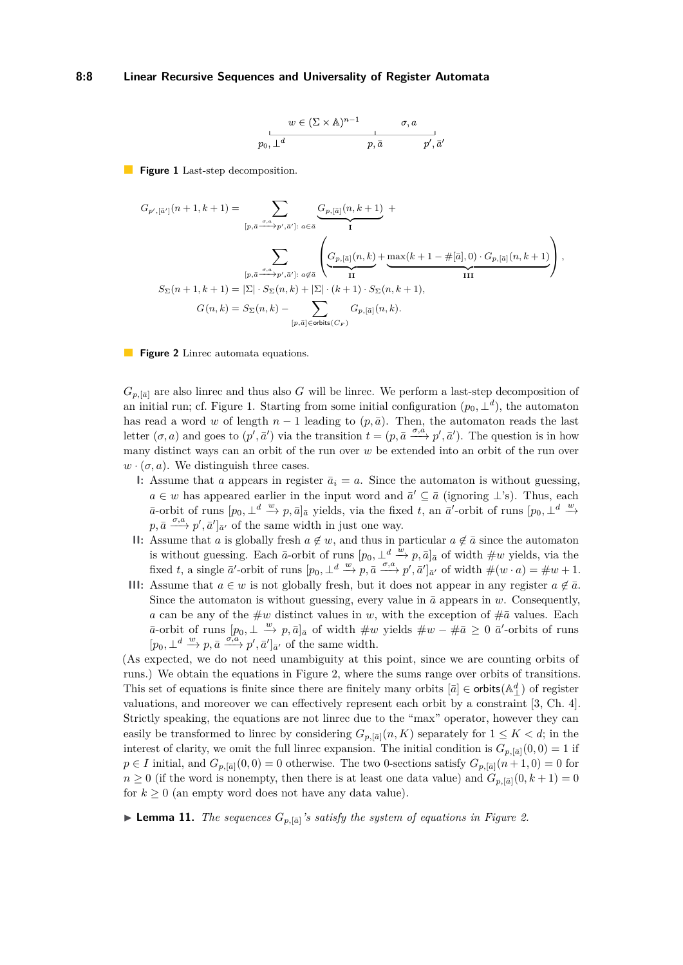#### <span id="page-7-1"></span>**8:8 Linear Recursive Sequences and Universality of Register Automata**

$$
w \in (\Sigma \times \mathbb{A})^{n-1} \qquad \sigma, a
$$
  
  $p_0, \perp^d \qquad \qquad p, \bar{a} \qquad \qquad p', \bar{a}$ 

<span id="page-7-0"></span>**Figure 1** Last-step decomposition.

$$
\begin{split} G_{p',[\bar{a}']}(n+1,k+1) &= \sum_{[p,\bar{a}\xrightarrow{\sigma,a}p',\bar{a}']:\; a\in \bar{a}}\frac{G_{p,[\bar{a}]}(n,k+1)}{\mathrm{I}}\; + \\ & \sum_{[p,\bar{a}\xrightarrow{\sigma,a}p',\bar{a}']:\; a\notin \bar{a}}\left(\underbrace{G_{p,[\bar{a}]}(n,k)}_{\mathrm{II}}+\underbrace{\max(k+1-\#[\bar{a}],0)\cdot G_{p,[\bar{a}]}(n,k+1)}_{\mathrm{III}}\right),\\ S_{\Sigma}(n+1,k+1) &= |\Sigma|\cdot S_{\Sigma}(n,k)+|\Sigma|\cdot(k+1)\cdot S_{\Sigma}(n,k+1),\\ G(n,k) &= S_{\Sigma}(n,k)-\sum_{[p,\bar{a}]\in\mathrm{orbits}(C_F)}G_{p,[\bar{a}]}(n,k). \end{split}
$$

**Figure 2** Linrec automata equations.

 $G_{p,[\bar{a}]}$  are also linrec and thus also *G* will be linrec. We perform a last-step decomposition of an initial run; cf. Figure [1.](#page-7-1) Starting from some initial configuration  $(p_0, \perp^d)$ , the automaton has read a word *w* of length  $n-1$  leading to  $(p, \bar{a})$ . Then, the automaton reads the last letter  $(\sigma, a)$  and goes to  $(p', \bar{a}')$  via the transition  $t = (p, \bar{a} \xrightarrow{\sigma, \dot{a}} p', \bar{a}')$ . The question is in how many distinct ways can an orbit of the run over *w* be extended into an orbit of the run over  $w \cdot (\sigma, a)$ . We distinguish three cases.

- **I:** Assume that *a* appears in register  $\bar{a}_i = a$ . Since the automaton is without guessing, *a* ∈ *w* has appeared earlier in the input word and  $\bar{a}' \subseteq \bar{a}$  (ignoring ⊥'s). Thus, each  $\overline{a}$ -orbit of runs  $[p_0, \perp^d \stackrel{w}{\to} p, \overline{a}]_{\overline{a}}$  yields, via the fixed *t*, an  $\overline{a}'$ -orbit of runs  $[p_0, \perp^d \stackrel{w}{\to}$  $p, \bar{a} \xrightarrow{\sigma, a} p', \bar{a}' \rbrack_{\bar{a}'}$  of the same width in just one way.
- **II:** Assume that *a* is globally fresh  $a \notin w$ , and thus in particular  $a \notin \bar{a}$  since the automaton is without guessing. Each  $\bar{a}$ -orbit of runs  $[p_0, \perp^d \stackrel{w}{\to} p, \bar{a}]_{\bar{a}}$  of width  $\#w$  yields, via the fixed *t*, a single  $\bar{a}'$ -orbit of runs  $[p_0, \perp^d \stackrel{w}{\to} p, \bar{a} \stackrel{\sigma, a}{\to} p', \bar{a}']_{\bar{a}'}$  of width  $\#(w \cdot a) = \#w + 1$ .
- **III:** Assume that  $a \in w$  is not globally fresh, but it does not appear in any register  $a \notin \bar{a}$ . Since the automaton is without guessing, every value in  $\bar{a}$  appears in *w*. Consequently, *a* can be any of the  $\#w$  distinct values in *w*, with the exception of  $\#a$  values. Each *a*–orbit of runs  $[p_0, \perp \stackrel{w}{\to} p, \bar{a}]_{\bar{a}}$  of width  $\#w$  yields  $\#w - \#\bar{a} \geq 0$   $\bar{a}'$ -orbits of runs  $[p_0, \perp^d \xrightarrow{w} p, \bar{a} \xrightarrow{\sigma, a} p', \bar{a}']_{\bar{a}'}$  of the same width.

(As expected, we do not need unambiguity at this point, since we are counting orbits of runs.) We obtain the equations in Figure [2,](#page-7-0) where the sums range over orbits of transitions. This set of equations is finite since there are finitely many orbits  $[\bar{a}] \in$  orbits $(\mathbb{A}_{\perp}^d)$  of register valuations, and moreover we can effectively represent each orbit by a constraint [\[3,](#page-12-1) Ch. 4]. Strictly speaking, the equations are not linrec due to the "max" operator, however they can easily be transformed to linrec by considering  $G_{p,[\bar{a}]}(n,K)$  separately for  $1 \leq K < d$ ; in the interest of clarity, we omit the full linrec expansion. The initial condition is  $G_{p,[\bar{a}]}(0,0) = 1$  if  $p \in I$  initial, and  $G_{p,[\bar{a}]}(0,0) = 0$  otherwise. The two 0-sections satisfy  $G_{p,[\bar{a}]}(n+1,0) = 0$  for  $n \geq 0$  (if the word is nonempty, then there is at least one data value) and  $G_{p,[\bar{a}]}(0,k+1) = 0$ for  $k \geq 0$  (an empty word does not have any data value).

<span id="page-7-2"></span>**Example 11.** The sequences  $G_{p,[\bar{a}]}$  is satisfy the system of equations in Figure [2.](#page-7-0)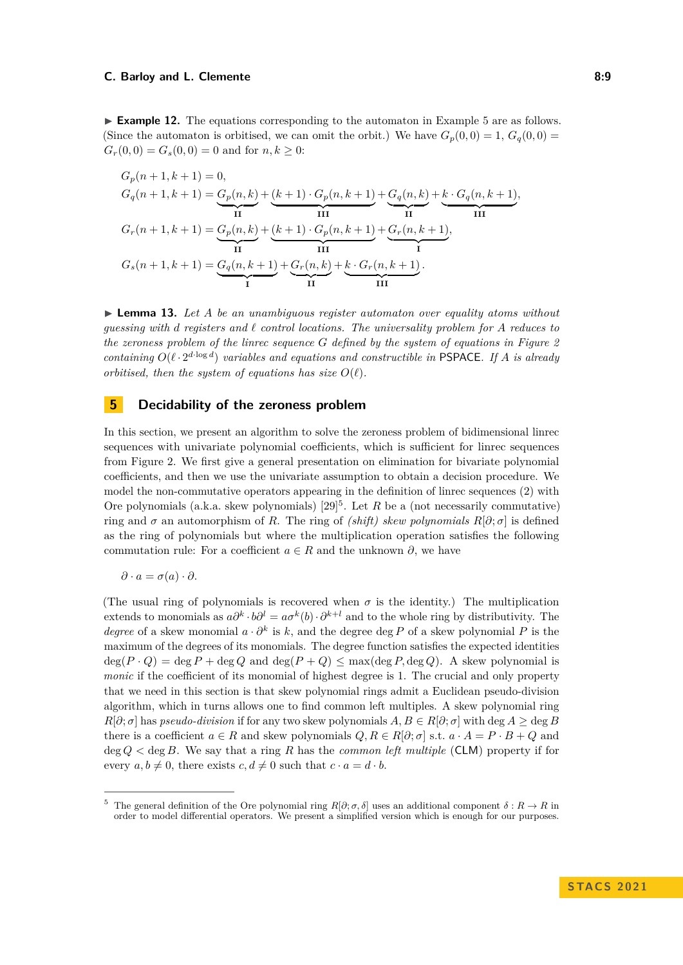▶ **Example 12.** The equations corresponding to the automaton in Example [5](#page-5-0) are as follows. (Since the automaton is orbitised, we can omit the orbit.) We have  $G_p(0,0) = 1$ ,  $G_q(0,0) =$  $G_r(0,0) = G_s(0,0) = 0$  and for  $n, k \geq 0$ .

$$
G_p(n+1, k+1) = 0,
$$
  
\n
$$
G_q(n+1, k+1) = \underbrace{G_p(n, k)}_{\text{II}} + \underbrace{(k+1) \cdot G_p(n, k+1)}_{\text{III}} + \underbrace{G_q(n, k)}_{\text{II}} + \underbrace{k \cdot G_q(n, k+1)}_{\text{III}},
$$
  
\n
$$
G_r(n+1, k+1) = \underbrace{G_p(n, k)}_{\text{II}} + \underbrace{(k+1) \cdot G_p(n, k+1)}_{\text{III}} + \underbrace{G_r(n, k+1)}_{\text{II}}.
$$

<span id="page-8-3"></span>▶ **Lemma 13.** *Let A be an unambiguous register automaton over equality atoms without guessing with d registers and ℓ control locations. The universality problem for A reduces to the zeroness problem of the linrec sequence G defined by the system of equations in Figure [2](#page-7-0) containing*  $O(\ell \cdot 2^{d \cdot \log d})$  *variables and equations and constructible in* PSPACE*. If A is already orbitised, then the system of equations has size*  $O(\ell)$ *.* 

# <span id="page-8-0"></span>**5 Decidability of the zeroness problem**

In this section, we present an algorithm to solve the zeroness problem of bidimensional linrec sequences with univariate polynomial coefficients, which is sufficient for linrec sequences from Figure [2.](#page-7-0) We first give a general presentation on elimination for bivariate polynomial coefficients, and then we use the univariate assumption to obtain a decision procedure. We model the non-commutative operators appearing in the definition of linrec sequences [\(2\)](#page-4-0) with Ore polynomials (a.k.a. skew polynomials)  $[29]^{5}$  $[29]^{5}$  $[29]^{5}$  $[29]^{5}$ . Let *R* be a (not necessarily commutative) ring and  $\sigma$  an automorphism of *R*. The ring of *(shift) skew polynomials*  $R[\partial; \sigma]$  is defined as the ring of polynomials but where the multiplication operation satisfies the following commutation rule: For a coefficient  $a \in R$  and the unknown  $\partial$ , we have

$$
\partial \cdot a = \sigma(a) \cdot \partial.
$$

(The usual ring of polynomials is recovered when  $\sigma$  is the identity.) The multiplication extends to monomials as  $a\partial^k \cdot b\partial^l = a\sigma^k(b)\cdot \partial^{k+l}$  and to the whole ring by distributivity. The *degree* of a skew monomial  $a \cdot \partial^k$  is k, and the degree deg P of a skew polynomial P is the maximum of the degrees of its monomials. The degree function satisfies the expected identities  $deg(P \cdot Q) = deg P + deg Q$  and  $deg(P + Q) \leq max(deg P, deg Q)$ . A skew polynomial is *monic* if the coefficient of its monomial of highest degree is 1. The crucial and only property that we need in this section is that skew polynomial rings admit a Euclidean pseudo-division algorithm, which in turns allows one to find common left multiples. A skew polynomial ring  $R[\partial; \sigma]$  has *pseudo-division* if for any two skew polynomials  $A, B \in R[\partial; \sigma]$  with deg  $A \ge \deg B$ there is a coefficient  $a \in R$  and skew polynomials  $Q, R \in R[\partial; \sigma]$  s.t.  $a \cdot A = P \cdot B + Q$  and deg *Q <* deg *B*. We say that a ring *R* has the *common left multiple* (CLM) property if for every  $a, b \neq 0$ , there exists  $c, d \neq 0$  such that  $c \cdot a = d \cdot b$ .

<span id="page-8-2"></span><span id="page-8-1"></span><sup>&</sup>lt;sup>5</sup> The general definition of the Ore polynomial ring  $R[\partial; \sigma, \delta]$  uses an additional component  $\delta: R \to R$  in order to model differential operators. We present a simplified version which is enough for our purposes.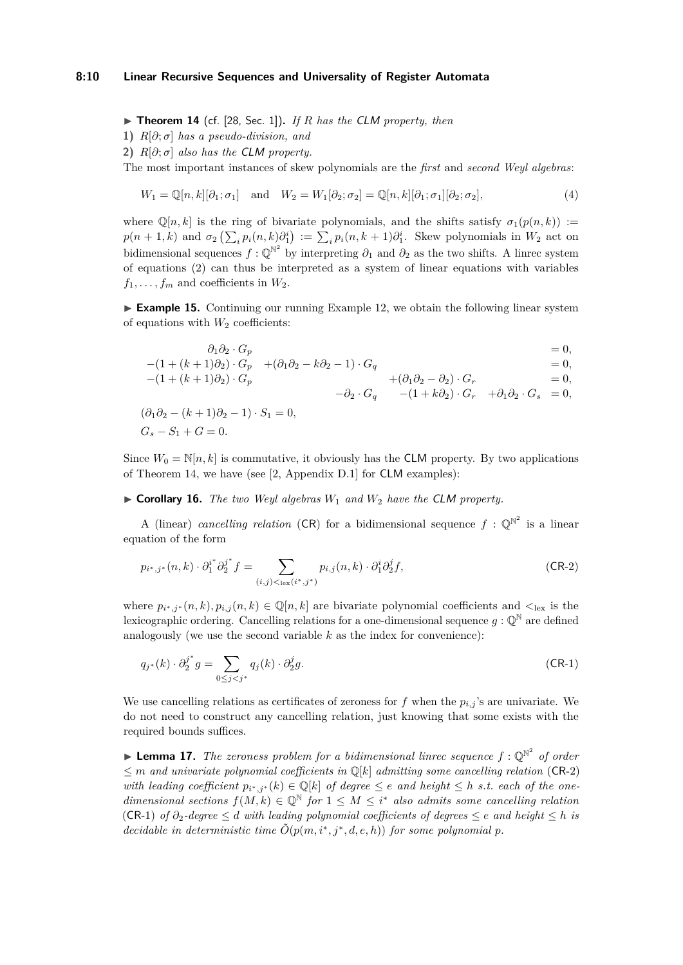#### **8:10 Linear Recursive Sequences and Universality of Register Automata**

▶ **Theorem 14** (cf. [\[28,](#page-13-18) Sec. 1])**.** *If R has the* CLM *property, then*

**1)**  $R[\partial; \sigma]$  has a pseudo-division, and

**2)**  $R[\partial; \sigma]$  also has the **CLM** property.

The most important instances of skew polynomials are the *first* and *second Weyl algebras*:

$$
W_1 = \mathbb{Q}[n,k][\partial_1;\sigma_1] \quad \text{and} \quad W_2 = W_1[\partial_2;\sigma_2] = \mathbb{Q}[n,k][\partial_1;\sigma_1][\partial_2;\sigma_2],\tag{4}
$$

where  $\mathbb{Q}[n,k]$  is the ring of bivariate polynomials, and the shifts satisfy  $\sigma_1(p(n,k))$  :=  $p(n+1,k)$  and  $\sigma_2\left(\sum_i p_i(n,k)\partial_1^i\right) := \sum_i p_i(n,k+1)\partial_1^i$ . Skew polynomials in  $W_2$  act on bidimensional sequences  $f: \mathbb{Q}^{\mathbb{N}^2}$  by interpreting  $\partial_1$  and  $\partial_2$  as the two shifts. A linrec system of equations [\(2\)](#page-4-0) can thus be interpreted as a system of linear equations with variables  $f_1, \ldots, f_m$  and coefficients in  $W_2$ .

<span id="page-9-2"></span>▶ **Example 15.** Continuing our running Example [12,](#page-7-2) we obtain the following linear system of equations with  $W_2$  coefficients:

$$
\begin{aligned}\n\partial_1 \partial_2 \cdot G_p &= 0, \\
-(1 + (k+1)\partial_2) \cdot G_p + (\partial_1 \partial_2 - k \partial_2 - 1) \cdot G_q &= 0, \\
-(1 + (k+1)\partial_2) \cdot G_p &= -\partial_2 \cdot G_q - (1 + k \partial_2) \cdot G_r &= 0, \\
(\partial_1 \partial_2 - (k+1)\partial_2 - 1) \cdot S_1 &= 0, \\
G_s - S_1 + G &= 0.\n\end{aligned}
$$

Since  $W_0 = \mathbb{N}[n, k]$  is commutative, it obviously has the **CLM** property. By two applications of Theorem [14,](#page-8-2) we have (see [\[2,](#page-12-0) Appendix D.1] for CLM examples):

 $\triangleright$  **Corollary 16.** *The two Weyl algebras*  $W_1$  *and*  $W_2$  *have the CLM property.* 

A (linear) *cancelling relation* (CR) for a bidimensional sequence  $f : \mathbb{Q}^{\mathbb{N}^2}$  is a linear equation of the form

<span id="page-9-0"></span>
$$
p_{i^*,j^*}(n,k) \cdot \partial_1^{i^*} \partial_2^{j^*} f = \sum_{(i,j) <_{\text{lex}}(i^*,j^*)} p_{i,j}(n,k) \cdot \partial_1^{i} \partial_2^{j} f,\tag{CR-2}
$$

where  $p_{i^*,j^*}(n,k), p_{i,j}(n,k) \in \mathbb{Q}[n,k]$  are bivariate polynomial coefficients and  $\lt_{\text{lex}}$  is the lexicographic ordering. Cancelling relations for a one-dimensional sequence  $q : \mathbb{Q}^{\mathbb{N}}$  are defined analogously (we use the second variable *k* as the index for convenience):

<span id="page-9-1"></span>
$$
q_{j^*}(k) \cdot \partial_2^{j^*} g = \sum_{0 \le j < j^*} q_j(k) \cdot \partial_2^j g. \tag{CR-1}
$$

We use cancelling relations as certificates of zeroness for  $f$  when the  $p_{i,j}$ 's are univariate. We do not need to construct any cancelling relation, just knowing that some exists with the required bounds suffices.

<span id="page-9-3"></span>**Example 17.** The zeroness problem for a bidimensional linrec sequence  $f : \mathbb{Q}^{\mathbb{N}^2}$  of order  $\leq$  *m* and univariate polynomial coefficients in  $\mathbb{Q}[k]$  admitting some cancelling relation ([CR](#page-9-0)-2) *with leading coefficient*  $p_{i^*,j^*}(k) \in \mathbb{Q}[k]$  *of degree*  $\leq e$  *and height*  $\leq h$  *s.t. each of the onedimensional sections*  $f(M, k) \in \mathbb{Q}^{\mathbb{N}}$  *for*  $1 \leq M \leq i^*$  *also admits some cancelling relation* ([CR](#page-9-1)-1) *of ∂*2*-degree* ≤ *d with leading polynomial coefficients of degrees* ≤ *e and height* ≤ *h is decidable in deterministic time*  $\tilde{O}(p(m, i^*, j^*, d, e, h))$  *for some polynomial p.*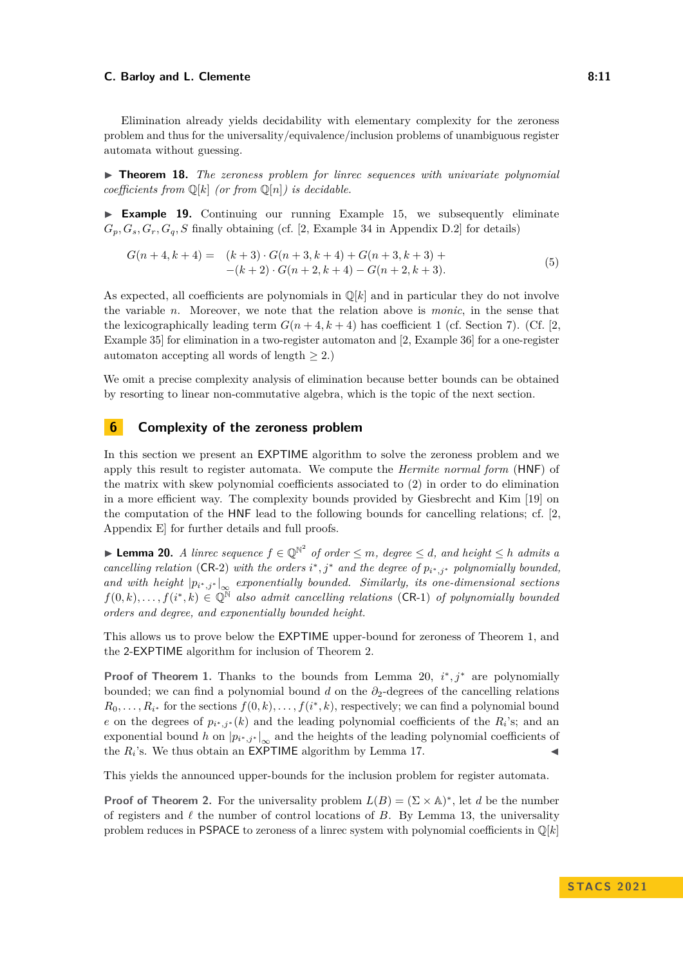Elimination already yields decidability with elementary complexity for the zeroness problem and thus for the universality/equivalence/inclusion problems of unambiguous register automata without guessing.

▶ **Theorem 18.** *The zeroness problem for linrec sequences with univariate polynomial coefficients from*  $\mathbb{Q}[k]$  *(or from*  $\mathbb{Q}[n]$ *) is decidable.* 

▶ **Example 19.** Continuing our running Example [15,](#page-9-2) we subsequently eliminate  $G_p, G_s, G_r, G_q, S$  finally obtaining (cf. [\[2,](#page-12-0) Example 34 in Appendix D.2] for details)

<span id="page-10-2"></span>
$$
G(n+4,k+4) = (k+3) \cdot G(n+3,k+4) + G(n+3,k+3) +
$$
  
-(k+2) \cdot G(n+2,k+4) - G(n+2,k+3). (5)

As expected, all coefficients are polynomials in  $\mathbb{Q}[k]$  and in particular they do not involve the variable *n*. Moreover, we note that the relation above is *monic*, in the sense that the lexicographically leading term  $G(n+4, k+4)$  has coefficient 1 (cf. Section [7\)](#page-11-0). (Cf. [\[2,](#page-12-0) Example 35] for elimination in a two-register automaton and [\[2,](#page-12-0) Example 36] for a one-register automaton accepting all words of length  $\geq$  2.)

We omit a precise complexity analysis of elimination because better bounds can be obtained by resorting to linear non-commutative algebra, which is the topic of the next section.

# <span id="page-10-0"></span>**6 Complexity of the zeroness problem**

In this section we present an EXPTIME algorithm to solve the zeroness problem and we apply this result to register automata. We compute the *Hermite normal form* (HNF) of the matrix with skew polynomial coefficients associated to [\(2\)](#page-4-0) in order to do elimination in a more efficient way. The complexity bounds provided by Giesbrecht and Kim [\[19\]](#page-13-17) on the computation of the HNF lead to the following bounds for cancelling relations; cf. [\[2,](#page-12-0) Appendix E] for further details and full proofs.

<span id="page-10-1"></span>▶ **Lemma 20.** *A linrec sequence*  $f \in \mathbb{Q}^{\mathbb{N}^2}$  *of order*  $\leq m$ *, degree*  $\leq d$ *, and height*  $\leq h$  *admits a cancelling relation* ([CR](#page-9-0)-2) *with the orders*  $i^*, j^*$  *and the degree of*  $p_{i^*, j^*}$  *polynomially bounded, and with height*  $|p_{i^*,j^*}|_{\infty}$  *exponentially bounded. Similarly, its one-dimensional sections*  $f(0,k),\ldots,f(i^*,k) \in \mathbb{Q}^{\mathbb{N}}$  also admit cancelling relations ([CR](#page-9-1)-1) of polynomially bounded *orders and degree, and exponentially bounded height.*

This allows us to prove below the EXPTIME upper-bound for zeroness of Theorem [1,](#page-3-0) and the 2-EXPTIME algorithm for inclusion of Theorem [2.](#page-3-2)

**Proof of Theorem [1.](#page-3-0)** Thanks to the bounds from Lemma [20,](#page-10-1)  $i^*, j^*$  are polynomially bounded; we can find a polynomial bound *d* on the *∂*2-degrees of the cancelling relations  $R_0, \ldots, R_{i^*}$  for the sections  $f(0, k), \ldots, f(i^*, k)$ , respectively; we can find a polynomial bound *e* on the degrees of  $p_{i^*,j^*}(k)$  and the leading polynomial coefficients of the  $R_i$ 's; and an exponential bound *h* on  $|p_{i^*,j^*}|_{\infty}$  and the heights of the leading polynomial coefficients of the  $R_i$ 's. We thus obtain an EXPTIME algorithm by Lemma [17.](#page-9-3)  $\triangleleft$ 

This yields the announced upper-bounds for the inclusion problem for register automata.

**Proof of Theorem [2.](#page-3-2)** For the universality problem  $L(B) = (\Sigma \times A)^*$ , let *d* be the number of registers and *ℓ* the number of control locations of *B*. By Lemma [13,](#page-8-3) the universality problem reduces in PSPACE to zeroness of a linrec system with polynomial coefficients in  $\mathbb{Q}[k]$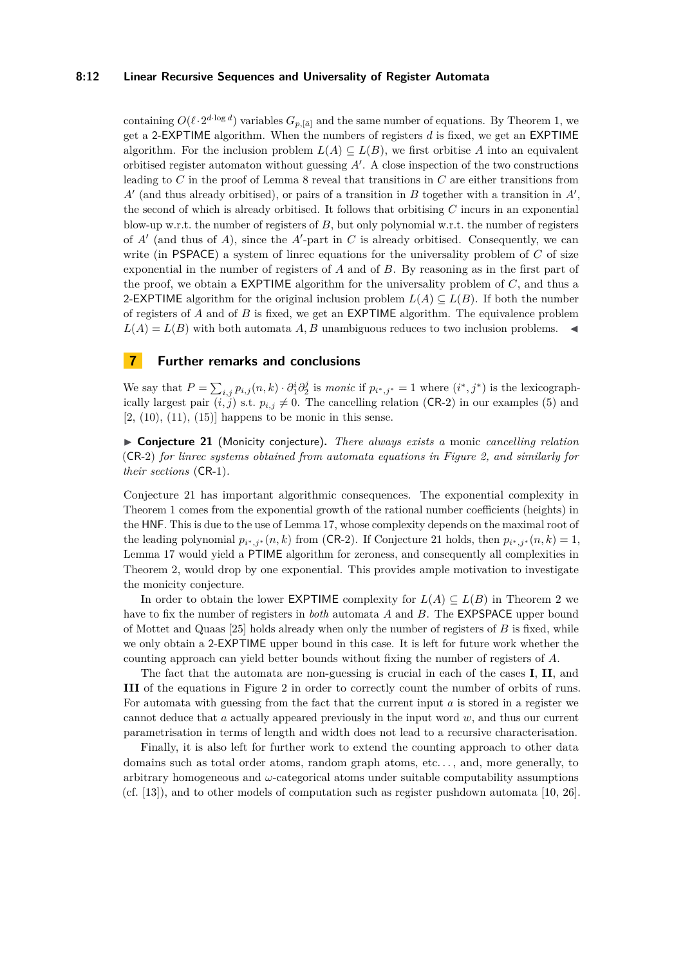#### **8:12 Linear Recursive Sequences and Universality of Register Automata**

containing  $O(\ell \cdot 2^{d \cdot \log d})$  variables  $G_{p,[\bar{a}]}$  and the same number of equations. By Theorem [1,](#page-3-0) we get a 2-EXPTIME algorithm. When the numbers of registers *d* is fixed, we get an EXPTIME algorithm. For the inclusion problem  $L(A) \subseteq L(B)$ , we first orbitise A into an equivalent orbitised register automaton without guessing *A*′ . A close inspection of the two constructions leading to *C* in the proof of Lemma [8](#page-6-2) reveal that transitions in *C* are either transitions from *A*′ (and thus already orbitised), or pairs of a transition in *B* together with a transition in *A*′ , the second of which is already orbitised. It follows that orbitising *C* incurs in an exponential blow-up w.r.t. the number of registers of *B*, but only polynomial w.r.t. the number of registers of *A*′ (and thus of *A*), since the *A*′ -part in *C* is already orbitised. Consequently, we can write (in PSPACE) a system of linrec equations for the universality problem of *C* of size exponential in the number of registers of *A* and of *B*. By reasoning as in the first part of the proof, we obtain a EXPTIME algorithm for the universality problem of *C*, and thus a 2-EXPTIME algorithm for the original inclusion problem  $L(A) \subseteq L(B)$ . If both the number of registers of *A* and of *B* is fixed, we get an EXPTIME algorithm. The equivalence problem  $L(A) = L(B)$  with both automata *A, B* unambiguous reduces to two inclusion problems.

# <span id="page-11-0"></span>**7 Further remarks and conclusions**

We say that  $P = \sum_{i,j} p_{i,j}(n,k) \cdot \partial_1^i \partial_2^j$  is *monic* if  $p_{i^*,j^*} = 1$  where  $(i^*,j^*)$  is the lexicographically largest pair  $(i, j)$  s.t.  $p_{i,j} \neq 0$ . The cancelling relation ([CR](#page-9-0)-2) in our examples [\(5\)](#page-10-2) and  $[2, (10), (11), (15)]$  $[2, (10), (11), (15)]$  happens to be monic in this sense.

<span id="page-11-1"></span>▶ **Conjecture 21** (Monicity conjecture)**.** *There always exists a* monic *cancelling relation* ([CR](#page-9-0)-2) *for linrec systems obtained from automata equations in Figure [2,](#page-7-0) and similarly for their sections* ([CR](#page-9-1)-1)*.*

Conjecture [21](#page-11-1) has important algorithmic consequences. The exponential complexity in Theorem [1](#page-3-0) comes from the exponential growth of the rational number coefficients (heights) in the HNF. This is due to the use of Lemma [17,](#page-9-3) whose complexity depends on the maximal root of the leading polynomial  $p_{i^*,j^*}(n,k)$  from ([CR](#page-9-0)-2). If Conjecture [21](#page-11-1) holds, then  $p_{i^*,j^*}(n,k) = 1$ , Lemma [17](#page-9-3) would yield a PTIME algorithm for zeroness, and consequently all complexities in Theorem [2,](#page-3-2) would drop by one exponential. This provides ample motivation to investigate the monicity conjecture.

In order to obtain the lower EXPTIME complexity for  $L(A) \subseteq L(B)$  in Theorem [2](#page-3-2) we have to fix the number of registers in *both* automata *A* and *B*. The EXPSPACE upper bound of Mottet and Quaas [\[25\]](#page-13-13) holds already when only the number of registers of *B* is fixed, while we only obtain a 2-EXPTIME upper bound in this case. It is left for future work whether the counting approach can yield better bounds without fixing the number of registers of *A*.

The fact that the automata are non-guessing is crucial in each of the cases **I**, **II**, and **III** of the equations in Figure [2](#page-7-0) in order to correctly count the number of orbits of runs. For automata with guessing from the fact that the current input *a* is stored in a register we cannot deduce that *a* actually appeared previously in the input word *w*, and thus our current parametrisation in terms of length and width does not lead to a recursive characterisation.

Finally, it is also left for further work to extend the counting approach to other data domains such as total order atoms, random graph atoms, etc. . . , and, more generally, to arbitrary homogeneous and *ω*-categorical atoms under suitable computability assumptions (cf. [\[13\]](#page-12-14)), and to other models of computation such as register pushdown automata [\[10,](#page-12-15) [26\]](#page-13-19).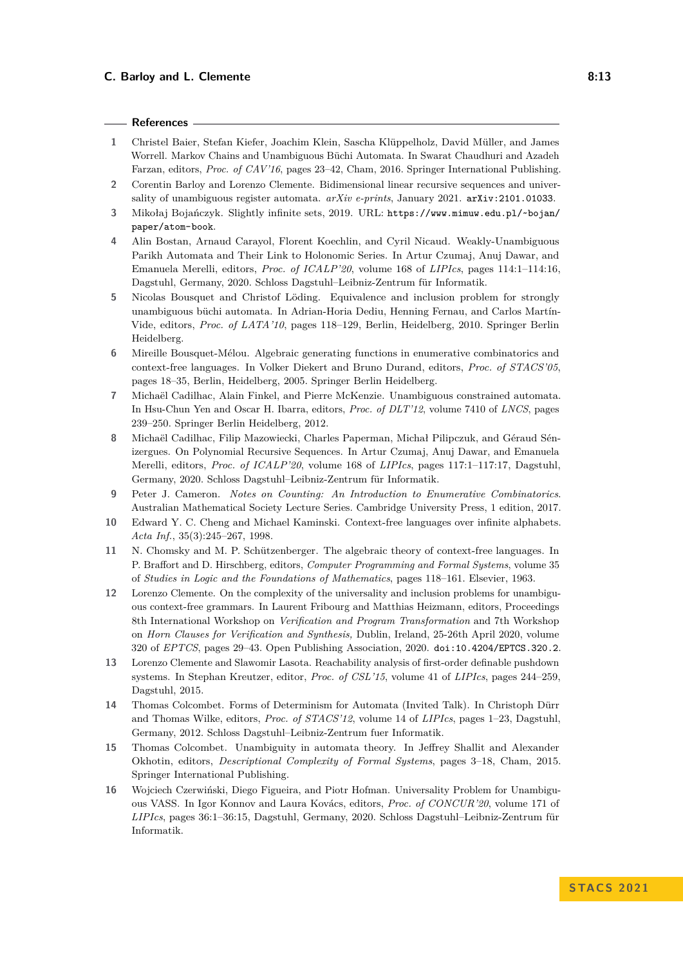#### **References**

- <span id="page-12-4"></span>**1** Christel Baier, Stefan Kiefer, Joachim Klein, Sascha Klüppelholz, David Müller, and James Worrell. Markov Chains and Unambiguous Büchi Automata. In Swarat Chaudhuri and Azadeh Farzan, editors, *Proc. of CAV'16*, pages 23–42, Cham, 2016. Springer International Publishing.
- <span id="page-12-0"></span>**2** Corentin Barloy and Lorenzo Clemente. Bidimensional linear recursive sequences and universality of unambiguous register automata. *arXiv e-prints*, January 2021. [arXiv:2101.01033](http://arxiv.org/abs/2101.01033).
- <span id="page-12-1"></span>**3** Mikołaj Bojańczyk. Slightly infinite sets, 2019. URL: [https://www.mimuw.edu.pl/~bojan/](https://www.mimuw.edu.pl/~bojan/paper/atom-book) [paper/atom-book](https://www.mimuw.edu.pl/~bojan/paper/atom-book).
- <span id="page-12-6"></span>**4** Alin Bostan, Arnaud Carayol, Florent Koechlin, and Cyril Nicaud. Weakly-Unambiguous Parikh Automata and Their Link to Holonomic Series. In Artur Czumaj, Anuj Dawar, and Emanuela Merelli, editors, *Proc. of ICALP'20*, volume 168 of *LIPIcs*, pages 114:1–114:16, Dagstuhl, Germany, 2020. Schloss Dagstuhl–Leibniz-Zentrum für Informatik.
- <span id="page-12-3"></span>**5** Nicolas Bousquet and Christof Löding. Equivalence and inclusion problem for strongly unambiguous büchi automata. In Adrian-Horia Dediu, Henning Fernau, and Carlos Martín-Vide, editors, *Proc. of LATA'10*, pages 118–129, Berlin, Heidelberg, 2010. Springer Berlin Heidelberg.
- <span id="page-12-11"></span>**6** Mireille Bousquet-Mélou. Algebraic generating functions in enumerative combinatorics and context-free languages. In Volker Diekert and Bruno Durand, editors, *Proc. of STACS'05*, pages 18–35, Berlin, Heidelberg, 2005. Springer Berlin Heidelberg.
- <span id="page-12-5"></span>**7** Michaël Cadilhac, Alain Finkel, and Pierre McKenzie. Unambiguous constrained automata. In Hsu-Chun Yen and Oscar H. Ibarra, editors, *Proc. of DLT'12*, volume 7410 of *LNCS*, pages 239–250. Springer Berlin Heidelberg, 2012.
- <span id="page-12-13"></span>**8** Michaël Cadilhac, Filip Mazowiecki, Charles Paperman, Michał Pilipczuk, and Géraud Sénizergues. On Polynomial Recursive Sequences. In Artur Czumaj, Anuj Dawar, and Emanuela Merelli, editors, *Proc. of ICALP'20*, volume 168 of *LIPIcs*, pages 117:1–117:17, Dagstuhl, Germany, 2020. Schloss Dagstuhl–Leibniz-Zentrum für Informatik.
- <span id="page-12-12"></span>**9** Peter J. Cameron. *Notes on Counting: An Introduction to Enumerative Combinatorics*. Australian Mathematical Society Lecture Series. Cambridge University Press, 1 edition, 2017.
- <span id="page-12-15"></span>**10** Edward Y. C. Cheng and Michael Kaminski. Context-free languages over infinite alphabets. *Acta Inf.*, 35(3):245–267, 1998.
- <span id="page-12-10"></span>**11** N. Chomsky and M. P. Schützenberger. The algebraic theory of context-free languages. In P. Braffort and D. Hirschberg, editors, *Computer Programming and Formal Systems*, volume 35 of *Studies in Logic and the Foundations of Mathematics*, pages 118–161. Elsevier, 1963.
- <span id="page-12-2"></span>**12** Lorenzo Clemente. On the complexity of the universality and inclusion problems for unambiguous context-free grammars. In Laurent Fribourg and Matthias Heizmann, editors, Proceedings 8th International Workshop on *Verification and Program Transformation* and 7th Workshop on *Horn Clauses for Verification and Synthesis,* Dublin, Ireland, 25-26th April 2020, volume 320 of *EPTCS*, pages 29–43. Open Publishing Association, 2020. [doi:10.4204/EPTCS.320.2](https://doi.org/10.4204/EPTCS.320.2).
- <span id="page-12-14"></span>**13** Lorenzo Clemente and Slawomir Lasota. Reachability analysis of first-order definable pushdown systems. In Stephan Kreutzer, editor, *Proc. of CSL'15*, volume 41 of *LIPIcs*, pages 244–259, Dagstuhl, 2015.
- <span id="page-12-8"></span>**14** Thomas Colcombet. Forms of Determinism for Automata (Invited Talk). In Christoph Dürr and Thomas Wilke, editors, *Proc. of STACS'12*, volume 14 of *LIPIcs*, pages 1–23, Dagstuhl, Germany, 2012. Schloss Dagstuhl–Leibniz-Zentrum fuer Informatik.
- <span id="page-12-9"></span>**15** Thomas Colcombet. Unambiguity in automata theory. In Jeffrey Shallit and Alexander Okhotin, editors, *Descriptional Complexity of Formal Systems*, pages 3–18, Cham, 2015. Springer International Publishing.
- <span id="page-12-7"></span>**16** Wojciech Czerwiński, Diego Figueira, and Piotr Hofman. Universality Problem for Unambiguous VASS. In Igor Konnov and Laura Kovács, editors, *Proc. of CONCUR'20*, volume 171 of *LIPIcs*, pages 36:1–36:15, Dagstuhl, Germany, 2020. Schloss Dagstuhl–Leibniz-Zentrum für Informatik.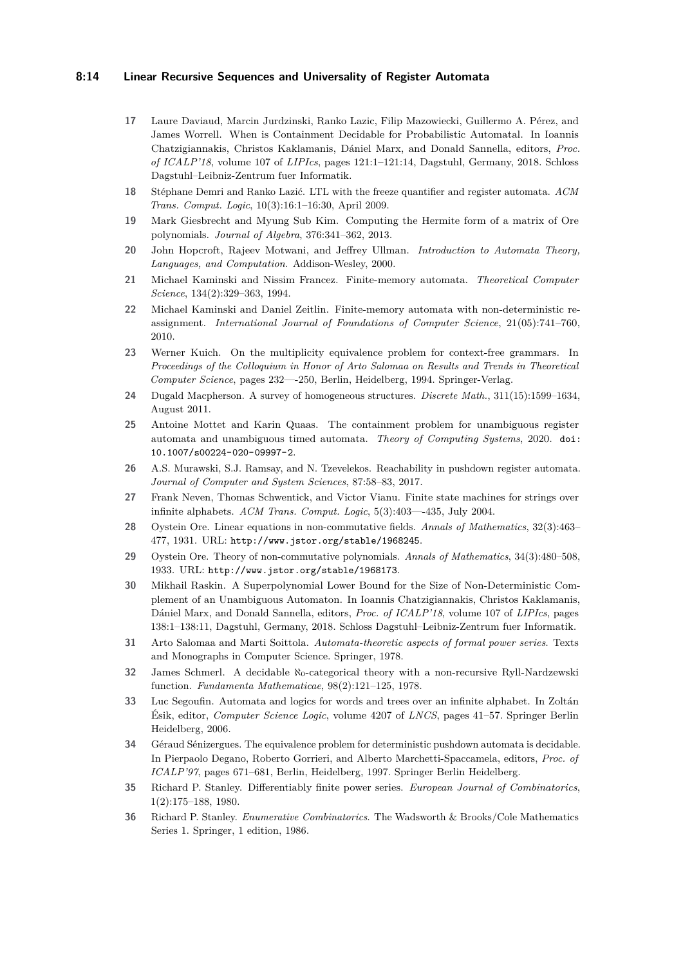#### **8:14 Linear Recursive Sequences and Universality of Register Automata**

- <span id="page-13-10"></span>**17** Laure Daviaud, Marcin Jurdzinski, Ranko Lazic, Filip Mazowiecki, Guillermo A. Pérez, and James Worrell. When is Containment Decidable for Probabilistic Automatal. In Ioannis Chatzigiannakis, Christos Kaklamanis, Dániel Marx, and Donald Sannella, editors, *Proc. of ICALP'18*, volume 107 of *LIPIcs*, pages 121:1–121:14, Dagstuhl, Germany, 2018. Schloss Dagstuhl–Leibniz-Zentrum fuer Informatik.
- <span id="page-13-5"></span>**18** Stéphane Demri and Ranko Lazić. LTL with the freeze quantifier and register automata. *ACM Trans. Comput. Logic*, 10(3):16:1–16:30, April 2009.
- <span id="page-13-17"></span>**19** Mark Giesbrecht and Myung Sub Kim. Computing the Hermite form of a matrix of Ore polynomials. *Journal of Algebra*, 376:341–362, 2013.
- <span id="page-13-6"></span>**20** John Hopcroft, Rajeev Motwani, and Jeffrey Ullman. *Introduction to Automata Theory, Languages, and Computation*. Addison-Wesley, 2000.
- <span id="page-13-0"></span>**21** Michael Kaminski and Nissim Francez. Finite-memory automata. *Theoretical Computer Science*, 134(2):329–363, 1994.
- <span id="page-13-4"></span>**22** Michael Kaminski and Daniel Zeitlin. Finite-memory automata with non-deterministic reassignment. *International Journal of Foundations of Computer Science*, 21(05):741–760, 2010.
- <span id="page-13-9"></span>**23** Werner Kuich. On the multiplicity equivalence problem for context-free grammars. In *Proceedings of the Colloquium in Honor of Arto Salomaa on Results and Trends in Theoretical Computer Science*, pages 232—-250, Berlin, Heidelberg, 1994. Springer-Verlag.
- <span id="page-13-1"></span>**24** Dugald Macpherson. A survey of homogeneous structures. *Discrete Math.*, 311(15):1599–1634, August 2011.
- <span id="page-13-13"></span>**25** Antoine Mottet and Karin Quaas. The containment problem for unambiguous register automata and unambiguous timed automata. *Theory of Computing Systems*, 2020. [doi:](https://doi.org/10.1007/s00224-020-09997-2) [10.1007/s00224-020-09997-2](https://doi.org/10.1007/s00224-020-09997-2).
- <span id="page-13-19"></span>**26** A.S. Murawski, S.J. Ramsay, and N. Tzevelekos. Reachability in pushdown register automata. *Journal of Computer and System Sciences*, 87:58–83, 2017.
- <span id="page-13-2"></span>**27** Frank Neven, Thomas Schwentick, and Victor Vianu. Finite state machines for strings over infinite alphabets. *ACM Trans. Comput. Logic*, 5(3):403—-435, July 2004.
- <span id="page-13-18"></span>**28** Oystein Ore. Linear equations in non-commutative fields. *Annals of Mathematics*, 32(3):463– 477, 1931. URL: <http://www.jstor.org/stable/1968245>.
- <span id="page-13-16"></span>**29** Oystein Ore. Theory of non-commutative polynomials. *Annals of Mathematics*, 34(3):480–508, 1933. URL: <http://www.jstor.org/stable/1968173>.
- <span id="page-13-14"></span>**30** Mikhail Raskin. A Superpolynomial Lower Bound for the Size of Non-Deterministic Complement of an Unambiguous Automaton. In Ioannis Chatzigiannakis, Christos Kaklamanis, Dániel Marx, and Donald Sannella, editors, *Proc. of ICALP'18*, volume 107 of *LIPIcs*, pages 138:1–138:11, Dagstuhl, Germany, 2018. Schloss Dagstuhl–Leibniz-Zentrum fuer Informatik.
- <span id="page-13-7"></span>**31** Arto Salomaa and Marti Soittola. *Automata-theoretic aspects of formal power series*. Texts and Monographs in Computer Science. Springer, 1978.
- <span id="page-13-15"></span>**32** James Schmerl. A decidable  $\aleph_0$ -categorical theory with a non-recursive Ryll-Nardzewski function. *Fundamenta Mathematicae*, 98(2):121–125, 1978.
- <span id="page-13-3"></span>**33** Luc Segoufin. Automata and logics for words and trees over an infinite alphabet. In Zoltán Ésik, editor, *Computer Science Logic*, volume 4207 of *LNCS*, pages 41–57. Springer Berlin Heidelberg, 2006.
- <span id="page-13-8"></span>**34** Géraud Sénizergues. The equivalence problem for deterministic pushdown automata is decidable. In Pierpaolo Degano, Roberto Gorrieri, and Alberto Marchetti-Spaccamela, editors, *Proc. of ICALP'97*, pages 671–681, Berlin, Heidelberg, 1997. Springer Berlin Heidelberg.
- <span id="page-13-12"></span>**35** Richard P. Stanley. Differentiably finite power series. *European Journal of Combinatorics*, 1(2):175–188, 1980.
- <span id="page-13-11"></span>**36** Richard P. Stanley. *Enumerative Combinatorics*. The Wadsworth & Brooks/Cole Mathematics Series 1. Springer, 1 edition, 1986.